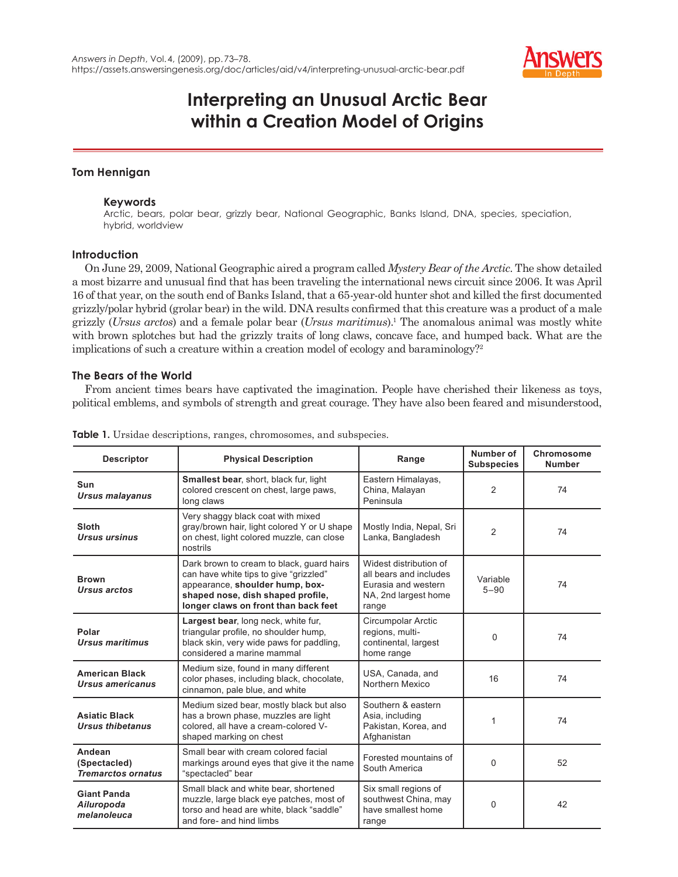

# **Interpreting an Unusual Arctic Bear within a Creation Model of Origins**

## **Tom Hennigan**

## **Keywords**

Arctic, bears, polar bear, grizzly bear, National Geographic, Banks Island, DNA, species, speciation, hybrid, worldview

## **Introduction**

On June 29, 2009, National Geographic aired a program called *Mystery Bear of the Arctic*. The show detailed a most bizarre and unusual find that has been traveling the international news circuit since 2006. It was April 16 of that year, on the south end of Banks Island, that a 65-year-old hunter shot and killed the first documented grizzly/polar hybrid (grolar bear) in the wild. DNA results confirmed that this creature was a product of a male grizzly (*Ursus arctos*) and a female polar bear (*Ursus maritimus*).1 The anomalous animal was mostly white with brown splotches but had the grizzly traits of long claws, concave face, and humped back. What are the implications of such a creature within a creation model of ecology and baraminology?<sup>2</sup>

# **The Bears of the World**

From ancient times bears have captivated the imagination. People have cherished their likeness as toys, political emblems, and symbols of strength and great courage. They have also been feared and misunderstood,

| <b>Descriptor</b>                                   | <b>Physical Description</b>                                                                                                                                                                                                           | Range                                                                                                    |                      | Chromosome<br><b>Number</b> |
|-----------------------------------------------------|---------------------------------------------------------------------------------------------------------------------------------------------------------------------------------------------------------------------------------------|----------------------------------------------------------------------------------------------------------|----------------------|-----------------------------|
| Sun<br><b>Ursus malayanus</b>                       | Smallest bear, short, black fur, light<br>Eastern Himalayas,<br>colored crescent on chest, large paws,<br>China, Malayan<br>Peninsula<br>long claws                                                                                   |                                                                                                          | 2                    | 74                          |
| <b>Sloth</b><br><b>Ursus ursinus</b>                | Very shaggy black coat with mixed<br>gray/brown hair, light colored Y or U shape<br>Mostly India, Nepal, Sri<br>on chest, light colored muzzle, can close<br>Lanka, Bangladesh<br>nostrils                                            |                                                                                                          | $\overline{2}$       | 74                          |
| <b>Brown</b><br>Ursus arctos                        | Dark brown to cream to black, quard hairs<br>can have white tips to give "grizzled"<br>appearance, shoulder hump, box-<br>shaped nose, dish shaped profile,<br>longer claws on front than back feet                                   | Widest distribution of<br>all bears and includes<br>Eurasia and western<br>NA, 2nd largest home<br>range | Variable<br>$5 - 90$ | 74                          |
| Polar<br>Ursus maritimus                            | Circumpolar Arctic<br>Largest bear, long neck, white fur,<br>triangular profile, no shoulder hump,<br>regions, multi-<br>black skin, very wide paws for paddling,<br>continental, largest<br>considered a marine mammal<br>home range |                                                                                                          | $\Omega$             | 74                          |
| <b>American Black</b><br>Ursus americanus           | Medium size, found in many different<br>USA, Canada, and<br>color phases, including black, chocolate,<br>Northern Mexico<br>cinnamon, pale blue, and white                                                                            |                                                                                                          | 16                   | 74                          |
| <b>Asiatic Black</b><br><b>Ursus thibetanus</b>     | Southern & eastern<br>Medium sized bear, mostly black but also<br>has a brown phase, muzzles are light<br>Asia, including<br>colored, all have a cream-colored V-<br>Pakistan, Korea, and<br>shaped marking on chest<br>Afghanistan   |                                                                                                          | 1                    | 74                          |
| Andean<br>(Spectacled)<br><b>Tremarctos ornatus</b> | Small bear with cream colored facial<br>markings around eyes that give it the name<br>"spectacled" bear                                                                                                                               | Forested mountains of<br>South America                                                                   | $\Omega$             | 52                          |
| <b>Giant Panda</b><br>Ailuropoda<br>melanoleuca     | Small black and white bear, shortened<br>muzzle, large black eye patches, most of<br>torso and head are white, black "saddle"<br>and fore- and hind limbs                                                                             | Six small regions of<br>southwest China, may<br>have smallest home<br>range                              | 0                    | 42                          |

**Table 1.** Ursidae descriptions, ranges, chromosomes, and subspecies.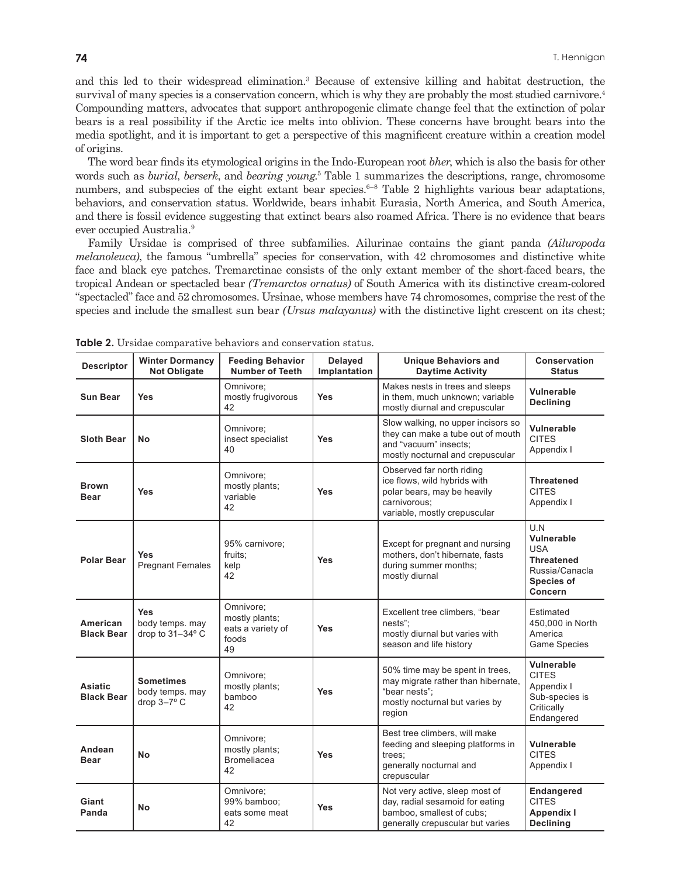and this led to their widespread elimination.3 Because of extensive killing and habitat destruction, the survival of many species is a conservation concern, which is why they are probably the most studied carnivore.<sup>4</sup> Compounding matters, advocates that support anthropogenic climate change feel that the extinction of polar bears is a real possibility if the Arctic ice melts into oblivion. These concerns have brought bears into the media spotlight, and it is important to get a perspective of this magnificent creature within a creation model of origins.

The word bear finds its etymological origins in the Indo-European root *bher*, which is also the basis for other words such as *burial*, *berserk*, and *bearing young*. 5 Table 1 summarizes the descriptions, range, chromosome numbers, and subspecies of the eight extant bear species.<sup>6–8</sup> Table 2 highlights various bear adaptations, behaviors, and conservation status. Worldwide, bears inhabit Eurasia, North America, and South America, and there is fossil evidence suggesting that extinct bears also roamed Africa. There is no evidence that bears ever occupied Australia.<sup>9</sup>

Family Ursidae is comprised of three subfamilies. Ailurinae contains the giant panda *(Ailuropoda melanoleuca)*, the famous "umbrella" species for conservation, with 42 chromosomes and distinctive white face and black eye patches. Tremarctinae consists of the only extant member of the short-faced bears, the tropical Andean or spectacled bear *(Tremarctos ornatus)* of South America with its distinctive cream-colored "spectacled" face and 52 chromosomes. Ursinae, whose members have 74 chromosomes, comprise the rest of the species and include the smallest sun bear *(Ursus malayanus)* with the distinctive light crescent on its chest;

| <b>Descriptor</b>             | <b>Winter Dormancy</b><br><b>Not Obligate</b>             | <b>Feeding Behavior</b><br><b>Number of Teeth</b>               | <b>Delayed</b><br>Implantation | <b>Unique Behaviors and</b><br><b>Daytime Activity</b>                                                                                   | <b>Conservation</b><br><b>Status</b>                                                                   |
|-------------------------------|-----------------------------------------------------------|-----------------------------------------------------------------|--------------------------------|------------------------------------------------------------------------------------------------------------------------------------------|--------------------------------------------------------------------------------------------------------|
| <b>Sun Bear</b>               | Yes                                                       | Omnivore:<br>mostly frugivorous<br>42                           | <b>Yes</b>                     | Makes nests in trees and sleeps<br>in them, much unknown; variable<br>mostly diurnal and crepuscular                                     | Vulnerable<br><b>Declining</b>                                                                         |
| <b>Sloth Bear</b>             | <b>No</b>                                                 | Omnivore;<br>insect specialist<br>40                            | <b>Yes</b>                     | Slow walking, no upper incisors so<br>they can make a tube out of mouth<br>and "vacuum" insects:<br>mostly nocturnal and crepuscular     | Vulnerable<br><b>CITES</b><br>Appendix I                                                               |
| <b>Brown</b><br><b>Bear</b>   | Yes                                                       | Omnivore;<br>mostly plants;<br>variable<br>42                   | <b>Yes</b>                     | Observed far north riding<br>ice flows, wild hybrids with<br>polar bears, may be heavily<br>carnivorous:<br>variable, mostly crepuscular | <b>Threatened</b><br><b>CITES</b><br>Appendix I                                                        |
| <b>Polar Bear</b>             | Yes<br><b>Pregnant Females</b>                            | 95% carnivore;<br>fruits:<br>kelp<br>42                         | <b>Yes</b>                     | Except for pregnant and nursing<br>mothers, don't hibernate, fasts<br>during summer months;<br>mostly diurnal                            | U.N<br>Vulnerable<br><b>USA</b><br><b>Threatened</b><br>Russia/Canacla<br><b>Species of</b><br>Concern |
| American<br><b>Black Bear</b> | <b>Yes</b><br>body temps. may<br>drop to 31-34° C         | Omnivore;<br>mostly plants;<br>eats a variety of<br>foods<br>49 | Yes                            | Excellent tree climbers, "bear<br>nests":<br>mostly diurnal but varies with<br>season and life history                                   | Estimated<br>450,000 in North<br>America<br>Game Species                                               |
| Asiatic<br><b>Black Bear</b>  | <b>Sometimes</b><br>body temps. may<br>drop $3-7^\circ$ C | Omnivore;<br>mostly plants;<br>bamboo<br>42                     | Yes                            | 50% time may be spent in trees,<br>may migrate rather than hibernate,<br>"bear nests":<br>mostly nocturnal but varies by<br>region       | Vulnerable<br><b>CITES</b><br>Appendix I<br>Sub-species is<br>Critically<br>Endangered                 |
| Andean<br><b>Bear</b>         | <b>No</b>                                                 | Omnivore;<br>mostly plants;<br><b>Bromeliacea</b><br>42         | <b>Yes</b>                     | Best tree climbers, will make<br>feeding and sleeping platforms in<br>trees:<br>generally nocturnal and<br>crepuscular                   | Vulnerable<br><b>CITES</b><br>Appendix I                                                               |
| Giant<br>Panda                | No                                                        | Omnivore;<br>99% bamboo;<br>eats some meat<br>42                | <b>Yes</b>                     | Not very active, sleep most of<br>day, radial sesamoid for eating<br>bamboo, smallest of cubs;<br>generally crepuscular but varies       | Endangered<br><b>CITES</b><br><b>Appendix I</b><br><b>Declining</b>                                    |

**Table 2.** Ursidae comparative behaviors and conservation status.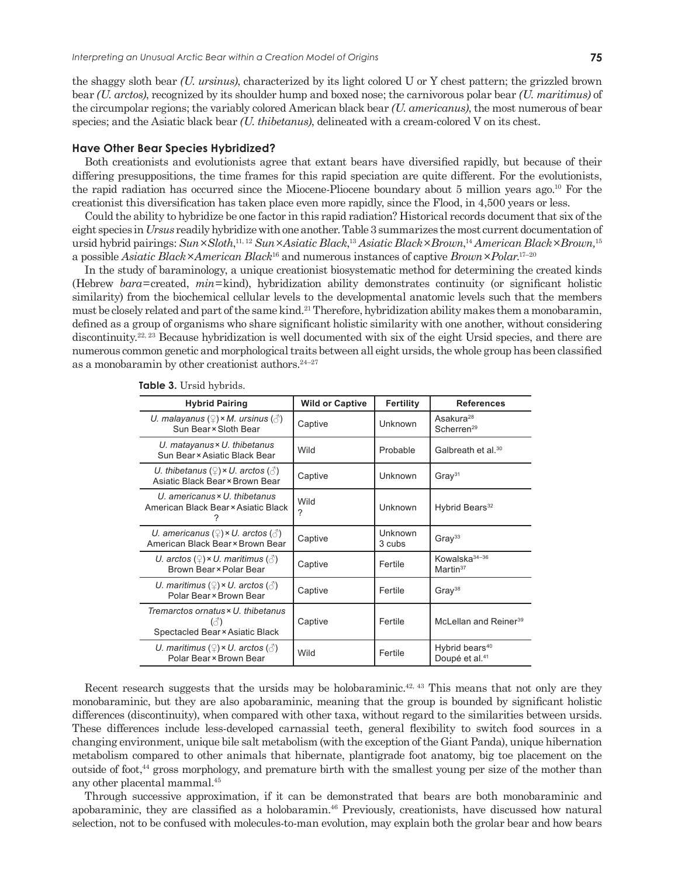the shaggy sloth bear *(U. ursinus)*, characterized by its light colored U or Y chest pattern; the grizzled brown bear *(U. arctos)*, recognized by its shoulder hump and boxed nose; the carnivorous polar bear *(U. maritimus)* of the circumpolar regions; the variably colored American black bear *(U. americanus)*, the most numerous of bear species; and the Asiatic black bear *(U. thibetanus)*, delineated with a cream-colored V on its chest.

#### **Have Other Bear Species Hybridized?**

Both creationists and evolutionists agree that extant bears have diversified rapidly, but because of their differing presuppositions, the time frames for this rapid speciation are quite different. For the evolutionists, the rapid radiation has occurred since the Miocene-Pliocene boundary about 5 million years ago.10 For the creationist this diversification has taken place even more rapidly, since the Flood, in 4,500 years or less.

Could the ability to hybridize be one factor in this rapid radiation? Historical records document that six of the eight species in *Ursus* readily hybridize with one another. Table 3 summarizes the most current documentation of ursid hybrid pairings: *Sun × Sloth*, 11, 12 *Sun × Asiatic Black*, <sup>13</sup> *Asiatic Black × Brown*, <sup>14</sup> *American Black × Brown,*<sup>15</sup> a possible *Asiatic Black × American Black*16 and numerous instances of captive *Brown × Polar*. 17–20

In the study of baraminology, a unique creationist biosystematic method for determining the created kinds (Hebrew *bara* = created, *min* = kind), hybridization ability demonstrates continuity (or significant holistic similarity) from the biochemical cellular levels to the developmental anatomic levels such that the members must be closely related and part of the same kind.<sup>21</sup> Therefore, hybridization ability makes them a monobaramin, defined as a group of organisms who share significant holistic similarity with one another, without considering discontinuity.22, 23 Because hybridization is well documented with six of the eight Ursid species, and there are numerous common genetic and morphological traits between all eight ursids, the whole group has been classified as a monobaramin by other creationist authors. $24-27$ 

| <b>Hybrid Pairing</b>                                                                               | <b>Wild or Captive</b> | Fertility         | <b>References</b>                                        |
|-----------------------------------------------------------------------------------------------------|------------------------|-------------------|----------------------------------------------------------|
| U. malayanus $(\mathcal{Q}) \times M$ . ursinus $(\mathcal{Z})$<br>Sun Bear × Sloth Bear            | Captive                | Unknown           | Asakura <sup>28</sup><br>Scherren <sup>29</sup>          |
| U. matayanus $\times$ U. thibetanus<br>Sun Bear × Asiatic Black Bear                                | Wild                   | Probable          | Galbreath et al. <sup>30</sup>                           |
| U. thibetanus $(\mathcal{Q}) \times U$ . arctos $(\mathcal{Z})$<br>Asiatic Black Bear × Brown Bear  | Captive                | Unknown           | Gray <sup>31</sup>                                       |
| U. americanus × U. thibetanus<br>American Black Bear × Asiatic Black                                | Wild<br>?              | Unknown           | Hybrid Bears <sup>32</sup>                               |
| U. americanus $(\mathcal{Q}) \times U$ . arctos $(\mathcal{Z})$<br>American Black Bear × Brown Bear | Captive                | Unknown<br>3 cubs | Gra $v^{33}$                                             |
| U. arctos $(\mathcal{Q}) \times U$ . maritimus $(\mathcal{Z})$<br>Brown Bear × Polar Bear           | Captive                | Fertile           | Kowalska <sup>34-36</sup><br>Martin <sup>37</sup>        |
| U. maritimus $(2) \times U$ . arctos $(3)$<br>Polar Bear × Brown Bear                               | Captive                | Fertile           | Gra $v^{38}$                                             |
| Tremarctos ornatus×U. thibetanus<br>( 3 )<br>Spectacled Bear × Asiatic Black                        | Captive                | Fertile           | McLellan and Reiner <sup>39</sup>                        |
| U. maritimus $(2) \times U$ . arctos $(3)$<br>Polar Bear × Brown Bear                               | Wild                   | Fertile           | Hybrid bears <sup>40</sup><br>Doupé et al. <sup>41</sup> |

#### **Table 3.** Ursid hybrids.

Recent research suggests that the ursids may be holobaraminic.<sup>42, 43</sup> This means that not only are they monobaraminic, but they are also apobaraminic, meaning that the group is bounded by significant holistic differences (discontinuity), when compared with other taxa, without regard to the similarities between ursids. These differences include less-developed carnassial teeth, general flexibility to switch food sources in a changing environment, unique bile salt metabolism (with the exception of the Giant Panda), unique hibernation metabolism compared to other animals that hibernate, plantigrade foot anatomy, big toe placement on the outside of foot,44 gross morphology, and premature birth with the smallest young per size of the mother than any other placental mammal.45

Through successive approximation, if it can be demonstrated that bears are both monobaraminic and apobaraminic, they are classified as a holobaramin.46 Previously, creationists, have discussed how natural selection, not to be confused with molecules-to-man evolution, may explain both the grolar bear and how bears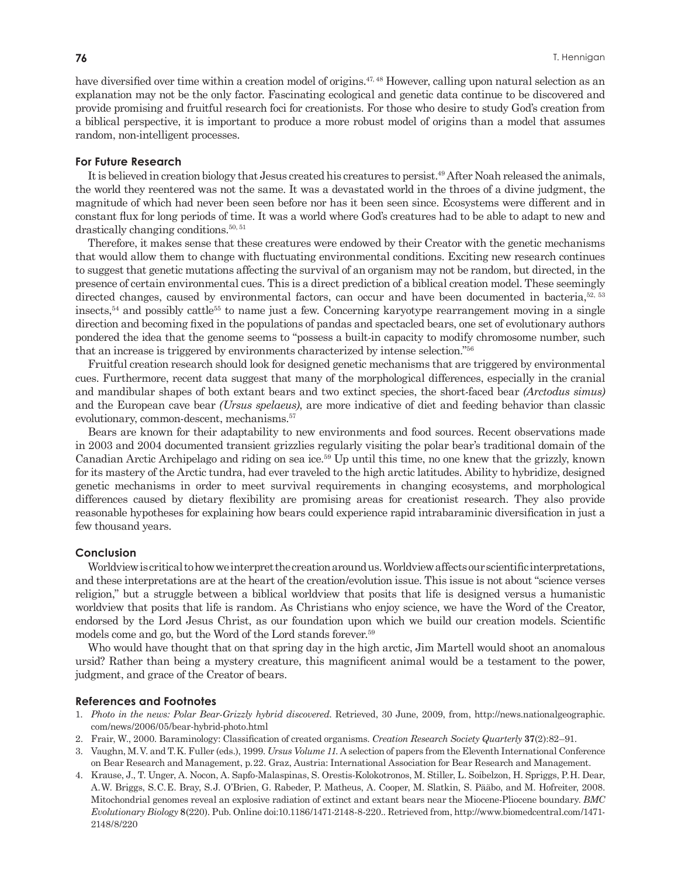have diversified over time within a creation model of origins.<sup>47, 48</sup> However, calling upon natural selection as an explanation may not be the only factor. Fascinating ecological and genetic data continue to be discovered and provide promising and fruitful research foci for creationists. For those who desire to study God's creation from a biblical perspective, it is important to produce a more robust model of origins than a model that assumes random, non-intelligent processes.

#### **For Future Research**

It is believed in creation biology that Jesus created his creatures to persist.<sup>49</sup> After Noah released the animals, the world they reentered was not the same. It was a devastated world in the throes of a divine judgment, the magnitude of which had never been seen before nor has it been seen since. Ecosystems were different and in constant flux for long periods of time. It was a world where God's creatures had to be able to adapt to new and drastically changing conditions.<sup>50, 51</sup>

Therefore, it makes sense that these creatures were endowed by their Creator with the genetic mechanisms that would allow them to change with fluctuating environmental conditions. Exciting new research continues to suggest that genetic mutations affecting the survival of an organism may not be random, but directed, in the presence of certain environmental cues. This is a direct prediction of a biblical creation model. These seemingly directed changes, caused by environmental factors, can occur and have been documented in bacteria,<sup>52, 53</sup> insects,<sup>54</sup> and possibly cattle<sup>55</sup> to name just a few. Concerning karyotype rearrangement moving in a single direction and becoming fixed in the populations of pandas and spectacled bears, one set of evolutionary authors pondered the idea that the genome seems to "possess a built-in capacity to modify chromosome number, such that an increase is triggered by environments characterized by intense selection."56

Fruitful creation research should look for designed genetic mechanisms that are triggered by environmental cues. Furthermore, recent data suggest that many of the morphological differences, especially in the cranial and mandibular shapes of both extant bears and two extinct species, the short-faced bear *(Arctodus simus)*  and the European cave bear *(Ursus spelaeus)*, are more indicative of diet and feeding behavior than classic evolutionary, common-descent, mechanisms.<sup>57</sup>

Bears are known for their adaptability to new environments and food sources. Recent observations made in 2003 and 2004 documented transient grizzlies regularly visiting the polar bear's traditional domain of the Canadian Arctic Archipelago and riding on sea ice.59 Up until this time, no one knew that the grizzly, known for its mastery of the Arctic tundra, had ever traveled to the high arctic latitudes. Ability to hybridize, designed genetic mechanisms in order to meet survival requirements in changing ecosystems, and morphological differences caused by dietary flexibility are promising areas for creationist research. They also provide reasonable hypotheses for explaining how bears could experience rapid intrabaraminic diversification in just a few thousand years.

### **Conclusion**

Worldview is critical to how we interpret the creation around us. Worldview affects our scientific interpretations, and these interpretations are at the heart of the creation/evolution issue. This issue is not about "science verses religion," but a struggle between a biblical worldview that posits that life is designed versus a humanistic worldview that posits that life is random. As Christians who enjoy science, we have the Word of the Creator, endorsed by the Lord Jesus Christ, as our foundation upon which we build our creation models. Scientific models come and go, but the Word of the Lord stands forever.59

Who would have thought that on that spring day in the high arctic, Jim Martell would shoot an anomalous ursid? Rather than being a mystery creature, this magnificent animal would be a testament to the power, judgment, and grace of the Creator of bears.

#### **References and Footnotes**

- 1. *Photo in the news: Polar Bear-Grizzly hybrid discovered*. Retrieved, 30 June, 2009, from, http://news.nationalgeographic. com/news/2006/05/bear-hybrid-photo.html
- 2. Frair, W., 2000. Baraminology: Classification of created organisms. *Creation Research Society Quarterly* **37**(2):82–91.
- 3. Vaughn, M. V. and T. K. Fuller (eds.), 1999. *Ursus Volume 11*. A selection of papers from the Eleventh International Conference on Bear Research and Management, p. 22. Graz, Austria: International Association for Bear Research and Management.
- 4. Krause, J., T. Unger, A. Nocon, A. Sapfo-Malaspinas, S. Orestis-Kolokotronos, M. Stiller, L. Soibelzon, H. Spriggs, P. H. Dear, A. W. Briggs, S. C. E. Bray, S. J. O'Brien, G. Rabeder, P. Matheus, A. Cooper, M. Slatkin, S. Pääbo, and M. Hofreiter, 2008. Mitochondrial genomes reveal an explosive radiation of extinct and extant bears near the Miocene-Pliocene boundary. *BMC Evolutionary Biology* **8**(220). Pub. Online doi:10.1186/1471-2148-8-220.. Retrieved from, http://www.biomedcentral.com/1471- 2148/8/220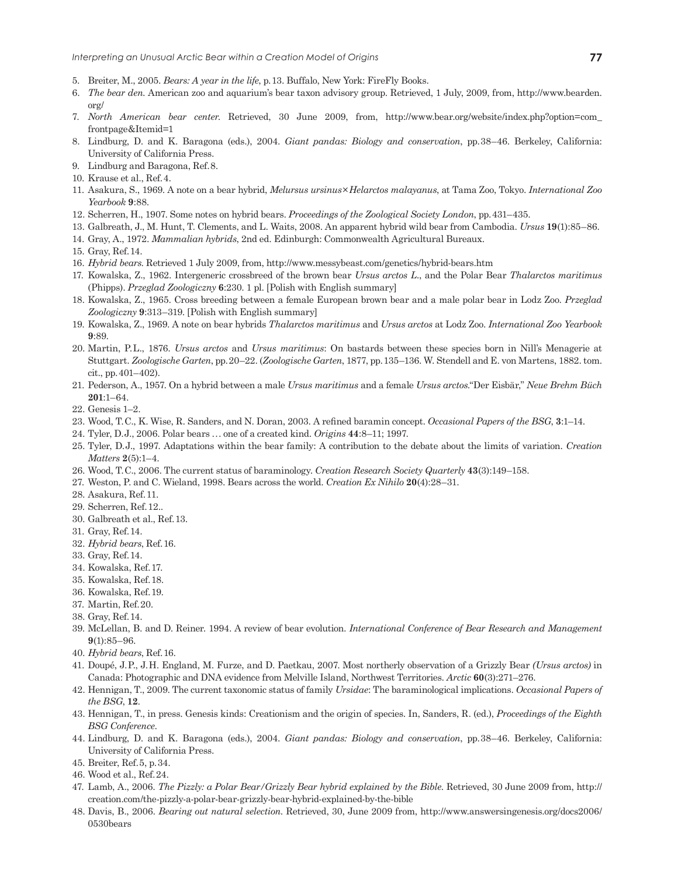- 5. Breiter, M., 2005. *Bears: A year in the life*, p. 13. Buffalo, New York: FireFly Books.
- 6. *The bear den*. American zoo and aquarium's bear taxon advisory group. Retrieved, 1 July, 2009, from, http://www.bearden. org/
- 7. *North American bear center*. Retrieved, 30 June 2009, from, http://www.bear.org/website/index.php?option=com\_ frontpage&Itemid=1
- 8. Lindburg, D. and K. Baragona (eds.), 2004. *Giant pandas: Biology and conservation*, pp. 38–46. Berkeley, California: University of California Press.
- 9. Lindburg and Baragona, Ref. 8.
- 10. Krause et al., Ref. 4.
- 11. Asakura, S., 1969. A note on a bear hybrid, *Melursus ursinus* × *Helarctos malayanus*, at Tama Zoo, Tokyo. *International Zoo Yearbook* **9**:88.
- 12. Scherren, H., 1907. Some notes on hybrid bears. *Proceedings of the Zoological Society London*, pp. 431–435.
- 13. Galbreath, J., M. Hunt, T. Clements, and L. Waits, 2008. An apparent hybrid wild bear from Cambodia. *Ursus* **19**(1):85–86.
- 14. Gray, A., 1972. *Mammalian hybrids*, 2nd ed. Edinburgh: Commonwealth Agricultural Bureaux.
- 15. Gray, Ref. 14.
- 16. *Hybrid bears*. Retrieved 1 July 2009, from, http://www.messybeast.com/genetics/hybrid-bears.htm
- 17. Kowalska, Z., 1962. Intergeneric crossbreed of the brown bear *Ursus arctos L.*, and the Polar Bear *Thalarctos maritimus*  (Phipps). *Przeglad Zoologiczny* **6**:230. 1 pl. [Polish with English summary]
- 18. Kowalska, Z., 1965. Cross breeding between a female European brown bear and a male polar bear in Lodz Zoo. *Przeglad Zoologiczny* **9**:313–319. [Polish with English summary]
- 19. Kowalska, Z., 1969. A note on bear hybrids *Thalarctos maritimus* and *Ursus arctos* at Lodz Zoo. *International Zoo Yearbook* **9**:89.
- 20. Martin, P. L., 1876. *Ursus arctos* and *Ursus maritimus*: On bastards between these species born in Nill's Menagerie at Stuttgart. *Zoologische Garten*, pp. 20–22. (*Zoologische Garten*, 1877, pp. 135–136. W. Stendell and E. von Martens, 1882. tom. cit., pp. 401–402).
- 21. Pederson, A., 1957. On a hybrid between a male *Ursus maritimus* and a female *Ursus arctos*."Der Eisbär," *Neue Brehm Büch*  **201**:1–64.
- 22. Genesis 1–2.
- 23. Wood, T. C., K. Wise, R. Sanders, and N. Doran, 2003. A refined baramin concept. *Occasional Papers of the BSG*, **3**:1–14.
- 24. Tyler, D. J., 2006. Polar bears . . . one of a created kind. *Origins* **44**:8–11; 1997.
- 25. Tyler, D. J., 1997. Adaptations within the bear family: A contribution to the debate about the limits of variation. *Creation Matters* **2**(5):1–4.
- 26. Wood, T. C., 2006. The current status of baraminology. *Creation Research Society Quarterly* **43**(3):149–158.
- 27. Weston, P. and C. Wieland, 1998. Bears across the world. *Creation Ex Nihilo* **20**(4):28–31.
- 28. Asakura, Ref. 11.
- 29. Scherren, Ref. 12..
- 30. Galbreath et al., Ref. 13.
- 31. Gray, Ref. 14.
- 32. *Hybrid bears*, Ref. 16.
- 33. Gray, Ref. 14.
- 34. Kowalska, Ref. 17.
- 35. Kowalska, Ref. 18.
- 36. Kowalska, Ref. 19.
- 37. Martin, Ref. 20.
- 38. Gray, Ref. 14.
- 39. McLellan, B. and D. Reiner. 1994. A review of bear evolution. *International Conference of Bear Research and Management* **9**(1):85–96.
- 40. *Hybrid bears*, Ref. 16.
- 41. Doupé, J. P., J. H. England, M. Furze, and D. Paetkau, 2007. Most northerly observation of a Grizzly Bear *(Ursus arctos)* in Canada: Photographic and DNA evidence from Melville Island, Northwest Territories. *Arctic* **60**(3):271–276.
- 42. Hennigan, T., 2009. The current taxonomic status of family *Ursidae*: The baraminological implications. *Occasional Papers of the BSG*, **12**.
- 43. Hennigan, T., in press. Genesis kinds: Creationism and the origin of species. In, Sanders, R. (ed.), *Proceedings of the Eighth BSG Conference*.
- 44. Lindburg, D. and K. Baragona (eds.), 2004. *Giant pandas: Biology and conservation*, pp. 38–46. Berkeley, California: University of California Press.
- 45. Breiter, Ref. 5, p. 34.
- 46. Wood et al., Ref. 24.
- 47. Lamb, A., 2006. *The Pizzly: a Polar Bear/Grizzly Bear hybrid explained by the Bible*. Retrieved, 30 June 2009 from, http:// creation.com/the-pizzly-a-polar-bear-grizzly-bear-hybrid-explained-by-the-bible
- 48. Davis, B., 2006. *Bearing out natural selection*. Retrieved, 30, June 2009 from, http://www.answersingenesis.org/docs2006/ 0530bears